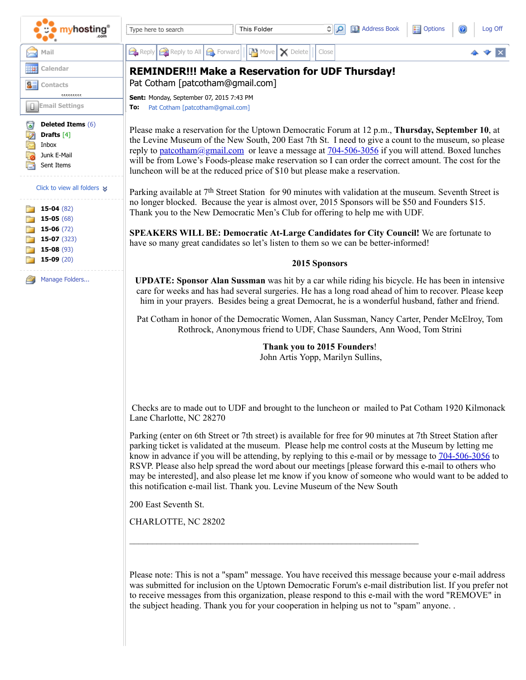| <mark>nyhosting</mark> '                                                             | $\frac{2}{3}$ Options<br><b>EL Address Book</b><br>વ∥ઃ<br>Log Off<br>This Folder<br>Type here to search                                                                                                                                                                                                                                                                                                                                                                                                                                                                                                                 |
|--------------------------------------------------------------------------------------|-------------------------------------------------------------------------------------------------------------------------------------------------------------------------------------------------------------------------------------------------------------------------------------------------------------------------------------------------------------------------------------------------------------------------------------------------------------------------------------------------------------------------------------------------------------------------------------------------------------------------|
| Mail                                                                                 | Reply Reply to All <b>B</b> Forward<br>$\mathbb{R}^n$ Move $\mathbf{X}$ Delete<br>Close                                                                                                                                                                                                                                                                                                                                                                                                                                                                                                                                 |
| Calendar                                                                             | <b>REMINDER!!! Make a Reservation for UDF Thursday!</b>                                                                                                                                                                                                                                                                                                                                                                                                                                                                                                                                                                 |
| Contacts<br>                                                                         | Pat Cotham [patcotham@gmail.com]<br>Sent: Monday, September 07, 2015 7:43 PM                                                                                                                                                                                                                                                                                                                                                                                                                                                                                                                                            |
| <b>Email Settings</b>                                                                | Pat Cotham [patcotham@gmail.com]<br>To:                                                                                                                                                                                                                                                                                                                                                                                                                                                                                                                                                                                 |
| <b>Deleted Items (6)</b><br>ھا<br>Drafts $[4]$<br>Inbox<br>Junk E-Mail<br>Sent Items | Please make a reservation for the Uptown Democratic Forum at 12 p.m., Thursday, September 10, at<br>the Levine Museum of the New South, 200 East 7th St. I need to give a count to the museum, so please<br>reply to patcotham@gmail.com or leave a message at 704-506-3056 if you will attend. Boxed lunches<br>will be from Lowe's Foods-please make reservation so I can order the correct amount. The cost for the<br>luncheon will be at the reduced price of \$10 but please make a reservation.                                                                                                                  |
| Click to view all folders $\mathbf{\mathbf{\times}}$<br>15-04 $(82)$<br>15-05 $(68)$ | Parking available at 7 <sup>th</sup> Street Station for 90 minutes with validation at the museum. Seventh Street is<br>no longer blocked. Because the year is almost over, 2015 Sponsors will be \$50 and Founders \$15.<br>Thank you to the New Democratic Men's Club for offering to help me with UDF.                                                                                                                                                                                                                                                                                                                |
| 15-06 $(72)$<br>$15-07(323)$<br>15-08 $(93)$                                         | SPEAKERS WILL BE: Democratic At-Large Candidates for City Council! We are fortunate to<br>have so many great candidates so let's listen to them so we can be better-informed!                                                                                                                                                                                                                                                                                                                                                                                                                                           |
| $15-09(20)$                                                                          | 2015 Sponsors                                                                                                                                                                                                                                                                                                                                                                                                                                                                                                                                                                                                           |
| Manage Folders                                                                       | <b>UPDATE: Sponsor Alan Sussman</b> was hit by a car while riding his bicycle. He has been in intensive<br>care for weeks and has had several surgeries. He has a long road ahead of him to recover. Please keep<br>him in your prayers. Besides being a great Democrat, he is a wonderful husband, father and friend.                                                                                                                                                                                                                                                                                                  |
|                                                                                      | Pat Cotham in honor of the Democratic Women, Alan Sussman, Nancy Carter, Pender McElroy, Tom<br>Rothrock, Anonymous friend to UDF, Chase Saunders, Ann Wood, Tom Strini                                                                                                                                                                                                                                                                                                                                                                                                                                                 |
|                                                                                      | Thank you to 2015 Founders!<br>John Artis Yopp, Marilyn Sullins,                                                                                                                                                                                                                                                                                                                                                                                                                                                                                                                                                        |
|                                                                                      | Checks are to made out to UDF and brought to the luncheon or mailed to Pat Cotham 1920 Kilmonack<br>Lane Charlotte, NC 28270                                                                                                                                                                                                                                                                                                                                                                                                                                                                                            |
|                                                                                      | Parking (enter on 6th Street or 7th street) is available for free for 90 minutes at 7th Street Station after<br>parking ticket is validated at the museum. Please help me control costs at the Museum by letting me<br>know in advance if you will be attending, by replying to this e-mail or by message to 704-506-3056 to<br>RSVP. Please also help spread the word about our meetings [please forward this e-mail to others who<br>may be interested], and also please let me know if you know of someone who would want to be added to<br>this notification e-mail list. Thank you. Levine Museum of the New South |
|                                                                                      | 200 East Seventh St.                                                                                                                                                                                                                                                                                                                                                                                                                                                                                                                                                                                                    |
|                                                                                      | CHARLOTTE, NC 28202                                                                                                                                                                                                                                                                                                                                                                                                                                                                                                                                                                                                     |

Please note: This is not a "spam" message. You have received this message because your e-mail address was submitted for inclusion on the Uptown Democratic Forum's e-mail distribution list. If you prefer not to receive messages from this organization, please respond to this e-mail with the word "REMOVE" in the subject heading. Thank you for your cooperation in helping us not to "spam" anyone. .